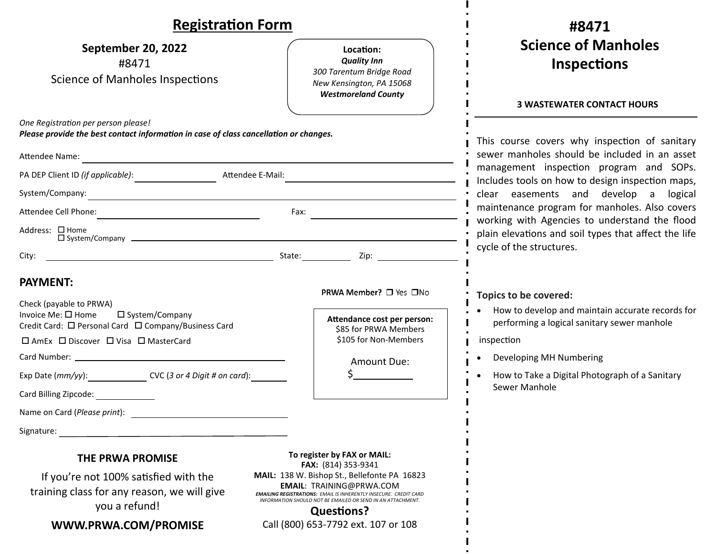| <b>Registration Form</b>                                                                                                                                                                                                                                                   |                                                                                                                                                                                                                                                                                                                                              | #8471                                                                                                                                                                                                                                                                                                                                                                                                                                                             |
|----------------------------------------------------------------------------------------------------------------------------------------------------------------------------------------------------------------------------------------------------------------------------|----------------------------------------------------------------------------------------------------------------------------------------------------------------------------------------------------------------------------------------------------------------------------------------------------------------------------------------------|-------------------------------------------------------------------------------------------------------------------------------------------------------------------------------------------------------------------------------------------------------------------------------------------------------------------------------------------------------------------------------------------------------------------------------------------------------------------|
| September 20, 2022<br>#8471<br><b>Science of Manholes Inspections</b>                                                                                                                                                                                                      | Location:<br><b>Quality Inn</b><br>300 Tarentum Bridge Road<br>New Kensington, PA 15068<br><b>Westmoreland County</b>                                                                                                                                                                                                                        | <b>Science of Manholes</b><br><b>Inspections</b>                                                                                                                                                                                                                                                                                                                                                                                                                  |
| One Registration per person please!<br>Please provide the best contact information in case of class cancellation or changes.<br>Attendee Name:<br>Attendee E-Mail:<br>PA DEP Client ID (if applicable):<br>System/Company: 2008. All Company:<br>Address: □ Home           | Fax:                                                                                                                                                                                                                                                                                                                                         | <b>3 WASTEWATER CONTACT HOURS</b><br>This course covers why inspection of sanitary<br>sewer manholes should be included in an asset<br>management inspection program and SOPs.<br>Includes tools on how to design inspection maps,<br>clear easements and develop a logical<br>maintenance program for manholes. Also covers<br>working with Agencies to understand the flood<br>plain elevations and soil types that affect the life<br>cycle of the structures. |
| City:<br><b>PAYMENT:</b><br>Check (payable to PRWA)<br>Invoice Me: □ Home<br>□ System/Company<br>Credit Card: □ Personal Card □ Company/Business Card<br>□ AmEx □ Discover □ Visa □ MasterCard<br>Exp Date (mm/yy): CVC (3 or 4 Digit # on card):<br>Card Billing Zipcode: | PRWA Member? □ Yes □No<br>Attendance cost per person:<br>\$85 for PRWA Members<br>\$105 for Non-Members<br>Amount Due:<br>$\zeta$ and $\zeta$                                                                                                                                                                                                | Topics to be covered:<br>How to develop and maintain accurate records for<br>performing a logical sanitary sewer manhole<br>inspection<br>Developing MH Numbering<br>How to Take a Digital Photograph of a Sanitary<br>Sewer Manhole                                                                                                                                                                                                                              |
| Name on Card (Please print):<br>Signature:<br>THE PRWA PROMISE<br>If you're not 100% satisfied with the<br>training class for any reason, we will give<br>you a refund!<br>WWW.PRWA.COM/PROMISE                                                                            | To register by FAX or MAIL:<br>FAX: (814) 353-9341<br>MAIL: 138 W. Bishop St., Bellefonte PA 16823<br><b>EMAIL: TRAINING@PRWA.COM</b><br><b>EMAILING REGISTRATIONS: EMAIL IS INHERENTLY INSECURE. CREDIT CARD</b><br>INFORMATION SHOULD NOT BE EMAILED OR SEND IN AN ATTACHMENT.<br><b>Questions?</b><br>Call (800) 653-7792 ext. 107 or 108 |                                                                                                                                                                                                                                                                                                                                                                                                                                                                   |

L